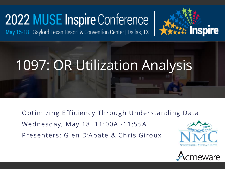# 2022 MUSE Inspire Conference

May 15-18 Gaylord Texan Resort & Convention Center | Dallas, TX



Optimizing Efficiency Through Understanding Data

Wednesday, May 18, 11:00A -11:55A

Presenters: Glen D'Abate & Chris Giroux



**Inspire** 

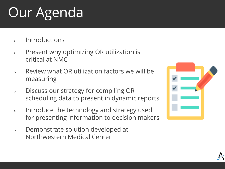# Our Agenda

- **Introductions**
- <sup>&</sup>gt; Present why optimizing OR utilization is critical at NMC
- <sup>&</sup>gt; Review what OR utilization factors we will be measuring
- <sup>&</sup>gt; Discuss our strategy for compiling OR scheduling data to present in dynamic reports
- <sup>&</sup>gt; Introduce the technology and strategy used for presenting information to decision makers
- <sup>&</sup>gt; Demonstrate solution developed at Northwestern Medical Center

|    | $\sqrt{2}$ and $\sqrt{2}$ |  |
|----|---------------------------|--|
|    | $\overline{\phantom{a}}$  |  |
| a. |                           |  |
|    |                           |  |
|    |                           |  |
|    |                           |  |

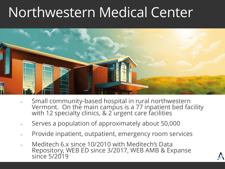## Northwestern Medical Center



- <sup>&</sup>gt; Small community-based hospital in rural northwestern Vermont. On the main campus is a 77 inpatient bed facility with 12 specialty clinics, & 2 urgent care facilities
- <sup>&</sup>gt; Serves a population of approximately about 50,000
- <sup>&</sup>gt; Provide inpatient, outpatient, emergency room services
- <sup>&</sup>gt; Meditech 6.x since 10/2010 with Meditech's Data Repository, WEB ED since 3/2017, WEB AMB & Expanse since 5/2019

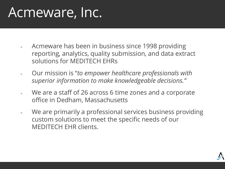## Acmeware, Inc.

- <sup>&</sup>gt; Acmeware has been in business since 1998 providing reporting, analytics, quality submission, and data extract solutions for MEDITECH EHRs
- <sup>&</sup>gt; Our mission is "*to empower healthcare professionals with superior information to make knowledgeable decisions."*
- <sup>&</sup>gt; We are a staff of 26 across 6 time zones and a corporate office in Dedham, Massachusetts
- <sup>&</sup>gt; We are primarily a professional services business providing custom solutions to meet the specific needs of our MEDITECH EHR clients.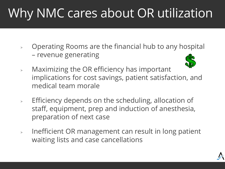## Why NMC cares about OR utilization

<sup>&</sup>gt; Operating Rooms are the financial hub to any hospital – revenue generating



- <sup>&</sup>gt; Maximizing the OR efficiency has important implications for cost savings, patient satisfaction, and medical team morale
- <sup>&</sup>gt; Efficiency depends on the scheduling, allocation of staff, equipment, prep and induction of anesthesia, preparation of next case
- <sup>&</sup>gt; Inefficient OR management can result in long patient waiting lists and case cancellations

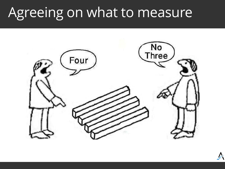## Agreeing on what to measure

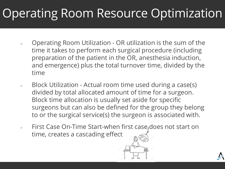#### Operating Room Resource Optimization

- <sup>&</sup>gt; Operating Room Utilization OR utilization is the sum of the time it takes to perform each surgical procedure (including preparation of the patient in the OR, anesthesia induction, and emergence) plus the total turnover time, divided by the time
- Block Utilization Actual room time used during a case(s) divided by total allocated amount of time for a surgeon. Block time allocation is usually set aside for specific surgeons but can also be defined for the group they belong to or the surgical service(s) the surgeon is associated with.
- First Case On-Time Start-when first case does not start on time, creates a cascading effect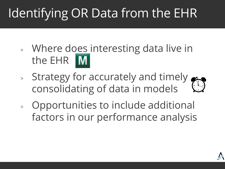## Identifying OR Data from the EHR

- <sup>&</sup>gt; Where does interesting data live in the EHR
- <sup>&</sup>gt; Strategy for accurately and timely consolidating of data in models
- <sup>&</sup>gt; Opportunities to include additional factors in our performance analysis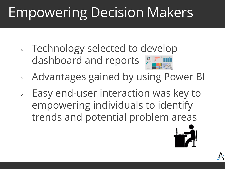## Empowering Decision Makers

- <sup>&</sup>gt; Technology selected to develop dashboard and reports
- <sup>&</sup>gt; Advantages gained by using Power BI
- <sup>&</sup>gt; Easy end-user interaction was key to empowering individuals to identify trends and potential problem areas

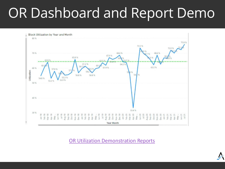## OR Dashboard and Report Demo



[OR Utilization Demonstration Reports](https://app.powerbi.com/Redirect?action=OpenApp&appId=0e9afb31-71d4-4098-ac7b-7283214bd792&ctid=fe2fa647-9edb-4b20-9805-91c96e21dc3f)

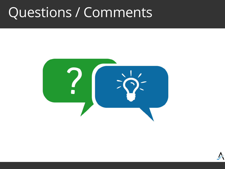#### Questions / Comments